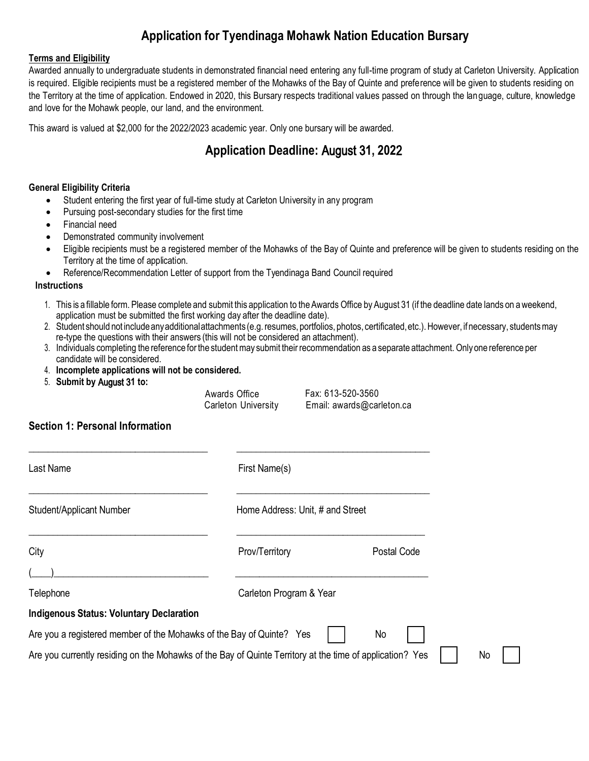# **Application for Tyendinaga Mohawk Nation Education Bursary**

### **Terms and Eligibility**

Awarded annually to undergraduate students in demonstrated financial need entering any full-time program of study at Carleton University. Application is required. Eligible recipients must be a registered member of the Mohawks of the Bay of Quinte and preference will be given to students residing on the Territory at the time of application. Endowed in 2020, this Bursary respects traditional values passed on through the language, culture, knowledge and love for the Mohawk people, our land, and the environment.

This award is valued at \$2,000 for the 2022/2023 academic year. Only one bursary will be awarded.

# **Application Deadline:** August 3**1, 202**2

### **General Eligibility Criteria**

- Student entering the first year of full-time study at Carleton University in any program
- Pursuing post-secondary studies for the first time
- Financial need
- Demonstrated community involvement
- Eligible recipients must be a registered member of the Mohawks of the Bay of Quinte and preference will be given to students residing on the Territory at the time of application.
- Reference/Recommendation Letter of support from the Tyendinaga Band Council required

#### **Instructions**

- 1. This is a fillable form. Please complete and submit this application to the Awards Office by August 31 (if the deadline date lands on a weekend, application must be submitted the first working day after the deadline date).
- 2. Student should not include any additional attachments (e.g. resumes, portfolios, photos, certificated, etc.). However, if necessary, students may re-type the questions with their answers (this will not be considered an attachment).
- 3. Individuals completing the reference for the student may submit their recommendation as a separate attachment. Only one reference per candidate will be considered.
- 4. **Incomplete applications will not be considered.**
- 5. **Submit by** August 3**1 to:**

Awards Office Fax: 613-520-3560

Carleton University Email: [awards@carleton.ca](mailto:awards@carleton.ca)

## **Section 1: Personal Information**

| Last Name                                                                                                | First Name(s)                    |             |
|----------------------------------------------------------------------------------------------------------|----------------------------------|-------------|
| Student/Applicant Number                                                                                 | Home Address: Unit, # and Street |             |
| City                                                                                                     | Prov/Territory                   | Postal Code |
|                                                                                                          |                                  |             |
| Telephone                                                                                                | Carleton Program & Year          |             |
| <b>Indigenous Status: Voluntary Declaration</b>                                                          |                                  |             |
| Are you a registered member of the Mohawks of the Bay of Quinte? Yes                                     |                                  | No          |
| Are you currently residing on the Mohawks of the Bay of Quinte Territory at the time of application? Yes |                                  |             |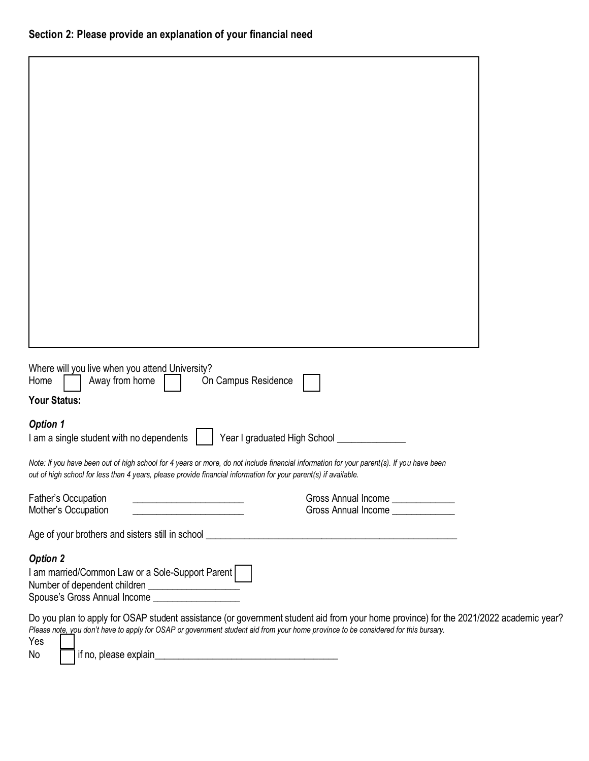| Where will you live when you attend University?<br>On Campus Residence<br>Away from home<br>Home                                                                                                                                                                                                                   |                                                                        |  |
|--------------------------------------------------------------------------------------------------------------------------------------------------------------------------------------------------------------------------------------------------------------------------------------------------------------------|------------------------------------------------------------------------|--|
| Your Status:                                                                                                                                                                                                                                                                                                       |                                                                        |  |
| <b>Option 1</b><br>I am a single student with no dependents                                                                                                                                                                                                                                                        | Year I graduated High School                                           |  |
| Note: If you have been out of high school for 4 years or more, do not include financial information for your parent(s). If you have been<br>out of high school for less than 4 years, please provide financial information for your parent(s) if available.                                                        |                                                                        |  |
| Father's Occupation<br>the control of the control of the control of the control of the control of<br>Mother's Occupation<br><u> 1989 - Johann Barnett, fransk politiker (</u>                                                                                                                                      | Gross Annual Income _____________<br>Gross Annual Income _____________ |  |
|                                                                                                                                                                                                                                                                                                                    |                                                                        |  |
| <b>Option 2</b>                                                                                                                                                                                                                                                                                                    |                                                                        |  |
| I am married/Common Law or a Sole-Support Parent<br>Spouse's Gross Annual Income ____________________                                                                                                                                                                                                              |                                                                        |  |
| Do you plan to apply for OSAP student assistance (or government student aid from your home province) for the 2021/2022 academic year?<br>Please note, you don't have to apply for OSAP or government student aid from your home province to be considered for this bursary.<br>Yes<br>if no, please explain_<br>No |                                                                        |  |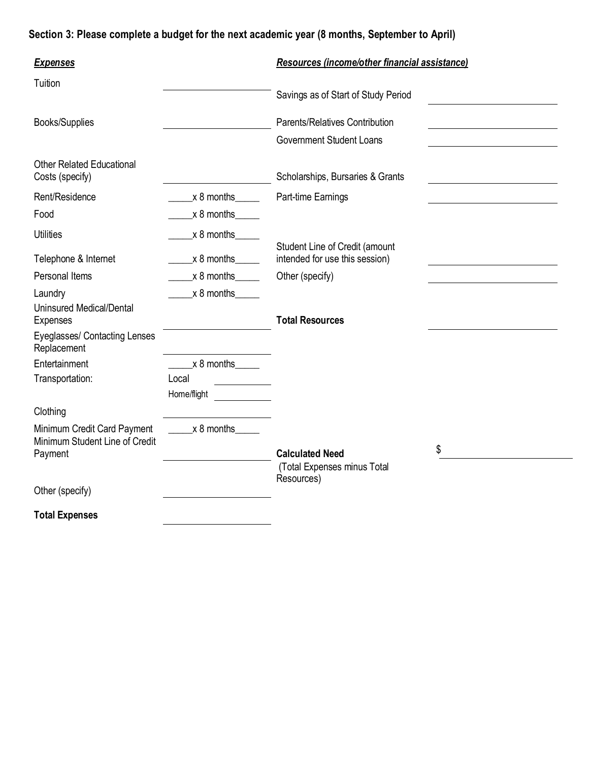# **Section 3: Please complete a budget for the next academic year (8 months, September to April)**

| <b>Expenses</b>                                               |                          | Resources (income/other financial assistance)                    |
|---------------------------------------------------------------|--------------------------|------------------------------------------------------------------|
| Tuition                                                       |                          | Savings as of Start of Study Period                              |
| <b>Books/Supplies</b>                                         |                          | Parents/Relatives Contribution                                   |
|                                                               |                          | <b>Government Student Loans</b>                                  |
| <b>Other Related Educational</b><br>Costs (specify)           |                          | Scholarships, Bursaries & Grants                                 |
| Rent/Residence                                                | x 8 months               | Part-time Earnings                                               |
| Food                                                          | $x 8$ months             |                                                                  |
| <b>Utilities</b>                                              | $x 8$ months             |                                                                  |
| Telephone & Internet                                          | $x 8$ months             | Student Line of Credit (amount<br>intended for use this session) |
| Personal Items                                                | $x 8$ months             | Other (specify)                                                  |
| Laundry                                                       | $x 8$ months             |                                                                  |
| <b>Uninsured Medical/Dental</b><br><b>Expenses</b>            |                          | <b>Total Resources</b>                                           |
| Eyeglasses/ Contacting Lenses<br>Replacement                  |                          |                                                                  |
| Entertainment                                                 | $x 8$ months _______     |                                                                  |
| Transportation:                                               | Local                    |                                                                  |
|                                                               | Home/flight              |                                                                  |
| Clothing                                                      |                          |                                                                  |
| Minimum Credit Card Payment<br>Minimum Student Line of Credit | $\frac{1}{2}$ x 8 months |                                                                  |
| Payment                                                       |                          | \$<br><b>Calculated Need</b><br>(Total Expenses minus Total      |
| Other (specify)                                               |                          | Resources)                                                       |
| <b>Total Expenses</b>                                         |                          |                                                                  |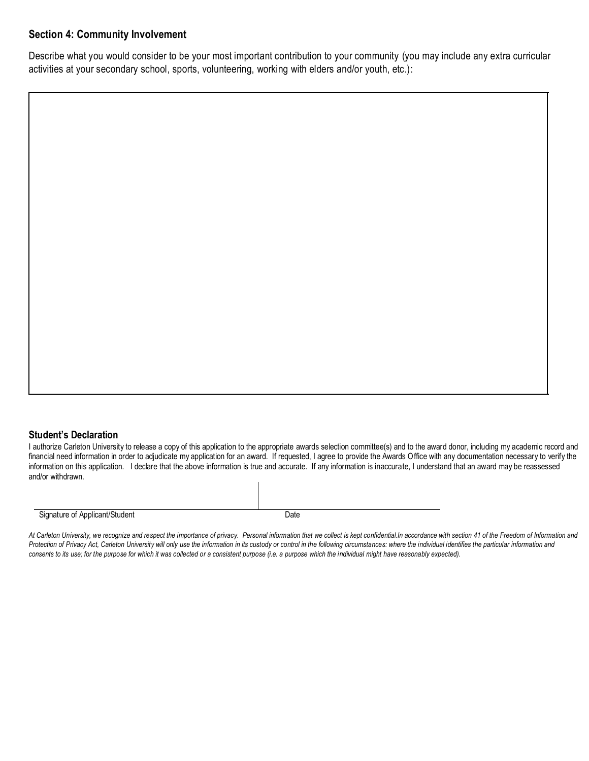# **Section 4: Community Involvement**

Describe what you would consider to be your most important contribution to your community (you may include any extra curricular activities at your secondary school, sports, volunteering, working with elders and/or youth, etc.):

## **Student's Declaration**

I authorize Carleton University to release a copy of this application to the appropriate awards selection committee(s) and to the award donor, including my academic record and financial need information in order to adjudicate my application for an award. If requested, I agree to provide the Awards Office with any documentation necessary to verify the information on this application. I declare that the above information is true and accurate. If any information is inaccurate, I understand that an award may be reassessed and/or withdrawn.

Signature of Applicant/Student Date Date

*At Carleton University, we recognize and respect the importance of privacy. Personal information that we collect is kept confidential.In accordance with section 41 of the Freedom of Information and Protection of Privacy Act, Carleton University will only use the information in its custody or control in the following circumstances: where the individual identifies the particular information and consents to its use; for the purpose for which it was collected or a consistent purpose (i.e. a purpose which the individual might have reasonably expected).*